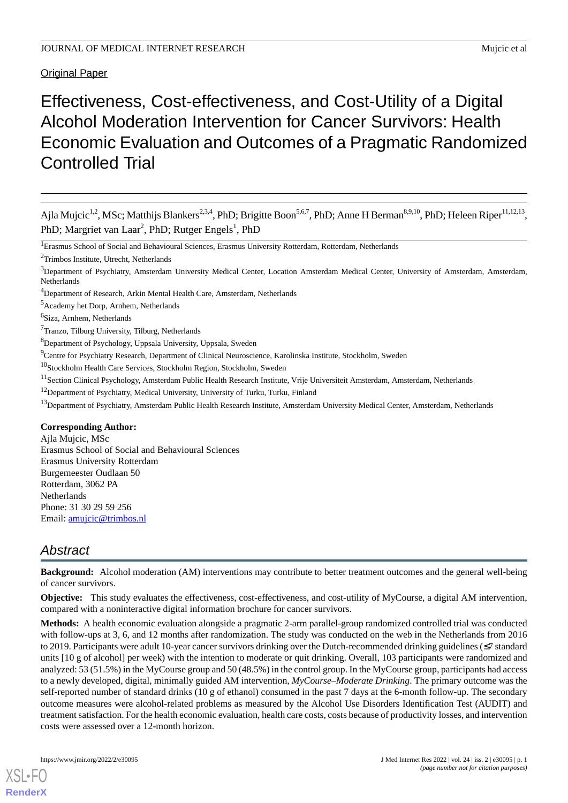Original Paper

# Effectiveness, Cost-effectiveness, and Cost-Utility of a Digital Alcohol Moderation Intervention for Cancer Survivors: Health Economic Evaluation and Outcomes of a Pragmatic Randomized Controlled Trial

Ajla Mujcic<sup>1,2</sup>, MSc; Matthijs Blankers<sup>2,3,4</sup>, PhD; Brigitte Boon<sup>5,6,7</sup>, PhD; Anne H Berman<sup>8,9,10</sup>, PhD; Heleen Riper<sup>11,12,13</sup>, PhD; Margriet van Laar<sup>2</sup>, PhD; Rutger Engels<sup>1</sup>, PhD

- <sup>8</sup>Department of Psychology, Uppsala University, Uppsala, Sweden
- <sup>9</sup>Centre for Psychiatry Research, Department of Clinical Neuroscience, Karolinska Institute, Stockholm, Sweden
- <sup>10</sup>Stockholm Health Care Services, Stockholm Region, Stockholm, Sweden
- <sup>11</sup>Section Clinical Psychology, Amsterdam Public Health Research Institute, Vrije Universiteit Amsterdam, Amsterdam, Netherlands
- <sup>12</sup>Department of Psychiatry, Medical University, University of Turku, Turku, Finland
- <sup>13</sup>Department of Psychiatry, Amsterdam Public Health Research Institute, Amsterdam University Medical Center, Amsterdam, Netherlands

#### **Corresponding Author:**

Ajla Mujcic, MSc Erasmus School of Social and Behavioural Sciences Erasmus University Rotterdam Burgemeester Oudlaan 50 Rotterdam, 3062 PA **Netherlands** Phone: 31 30 29 59 256 Email: [amujcic@trimbos.nl](mailto:amujcic@trimbos.nl)

# *Abstract*

**Background:** Alcohol moderation (AM) interventions may contribute to better treatment outcomes and the general well-being of cancer survivors.

**Objective:** This study evaluates the effectiveness, cost-effectiveness, and cost-utility of MyCourse, a digital AM intervention, compared with a noninteractive digital information brochure for cancer survivors.

**Methods:** A health economic evaluation alongside a pragmatic 2-arm parallel-group randomized controlled trial was conducted with follow-ups at 3, 6, and 12 months after randomization. The study was conducted on the web in the Netherlands from 2016 to 2019. Participants were adult 10-year cancer survivors drinking over the Dutch-recommended drinking guidelines (≤7 standard units [10 g of alcohol] per week) with the intention to moderate or quit drinking. Overall, 103 participants were randomized and analyzed: 53 (51.5%) in the MyCourse group and 50 (48.5%) in the control group. In the MyCourse group, participants had access to a newly developed, digital, minimally guided AM intervention, *MyCourse–Moderate Drinking*. The primary outcome was the self-reported number of standard drinks (10 g of ethanol) consumed in the past 7 days at the 6-month follow-up. The secondary outcome measures were alcohol-related problems as measured by the Alcohol Use Disorders Identification Test (AUDIT) and treatment satisfaction. For the health economic evaluation, health care costs, costs because of productivity losses, and intervention costs were assessed over a 12-month horizon.

[XSL](http://www.w3.org/Style/XSL)•FO **[RenderX](http://www.renderx.com/)**

<sup>&</sup>lt;sup>1</sup>Erasmus School of Social and Behavioural Sciences, Erasmus University Rotterdam, Rotterdam, Netherlands

<sup>2</sup>Trimbos Institute, Utrecht, Netherlands

<sup>&</sup>lt;sup>3</sup>Department of Psychiatry, Amsterdam University Medical Center, Location Amsterdam Medical Center, University of Amsterdam, Amsterdam, Netherlands

<sup>4</sup>Department of Research, Arkin Mental Health Care, Amsterdam, Netherlands

<sup>5</sup>Academy het Dorp, Arnhem, Netherlands

<sup>&</sup>lt;sup>6</sup>Siza, Arnhem, Netherlands

<sup>7</sup>Tranzo, Tilburg University, Tilburg, Netherlands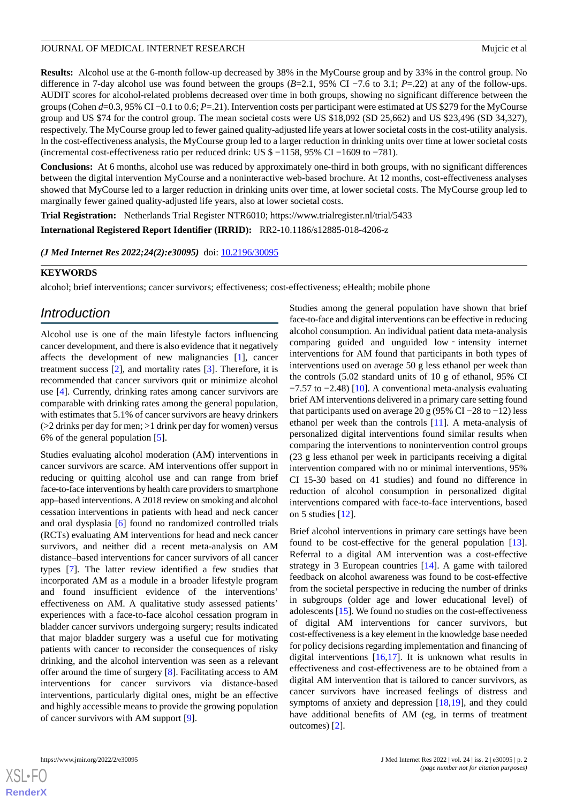**Results:** Alcohol use at the 6-month follow-up decreased by 38% in the MyCourse group and by 33% in the control group. No difference in 7-day alcohol use was found between the groups (*B*=2.1, 95% CI −7.6 to 3.1; *P*=.22) at any of the follow-ups. AUDIT scores for alcohol-related problems decreased over time in both groups, showing no significant difference between the groups (Cohen *d*=0.3, 95% CI −0.1 to 0.6; *P*=.21). Intervention costs per participant were estimated at US \$279 for the MyCourse group and US \$74 for the control group. The mean societal costs were US \$18,092 (SD 25,662) and US \$23,496 (SD 34,327), respectively. The MyCourse group led to fewer gained quality-adjusted life years at lower societal costs in the cost-utility analysis. In the cost-effectiveness analysis, the MyCourse group led to a larger reduction in drinking units over time at lower societal costs (incremental cost-effectiveness ratio per reduced drink: US \$ −1158, 95% CI −1609 to −781).

**Conclusions:** At 6 months, alcohol use was reduced by approximately one-third in both groups, with no significant differences between the digital intervention MyCourse and a noninteractive web-based brochure. At 12 months, cost-effectiveness analyses showed that MyCourse led to a larger reduction in drinking units over time, at lower societal costs. The MyCourse group led to marginally fewer gained quality-adjusted life years, also at lower societal costs.

**Trial Registration:** Netherlands Trial Register NTR6010; https://www.trialregister.nl/trial/5433

**International Registered Report Identifier (IRRID):** RR2-10.1186/s12885-018-4206-z

*(J Med Internet Res 2022;24(2):e30095)* doi:  $10.2196/30095$ 

### **KEYWORDS**

alcohol; brief interventions; cancer survivors; effectiveness; cost-effectiveness; eHealth; mobile phone

# *Introduction*

Alcohol use is one of the main lifestyle factors influencing cancer development, and there is also evidence that it negatively affects the development of new malignancies [[1\]](#page-12-0), cancer treatment success [\[2](#page-12-1)], and mortality rates [\[3](#page-12-2)]. Therefore, it is recommended that cancer survivors quit or minimize alcohol use [\[4\]](#page-12-3). Currently, drinking rates among cancer survivors are comparable with drinking rates among the general population, with estimates that 5.1% of cancer survivors are heavy drinkers  $(>=2$  drinks per day for men;  $>=1$  drink per day for women) versus 6% of the general population [\[5](#page-12-4)].

Studies evaluating alcohol moderation (AM) interventions in cancer survivors are scarce. AM interventions offer support in reducing or quitting alcohol use and can range from brief face-to-face interventions by health care providers to smartphone app–based interventions. A 2018 review on smoking and alcohol cessation interventions in patients with head and neck cancer and oral dysplasia [[6\]](#page-12-5) found no randomized controlled trials (RCTs) evaluating AM interventions for head and neck cancer survivors, and neither did a recent meta-analysis on AM distance–based interventions for cancer survivors of all cancer types [[7\]](#page-12-6). The latter review identified a few studies that incorporated AM as a module in a broader lifestyle program and found insufficient evidence of the interventions' effectiveness on AM. A qualitative study assessed patients' experiences with a face-to-face alcohol cessation program in bladder cancer survivors undergoing surgery; results indicated that major bladder surgery was a useful cue for motivating patients with cancer to reconsider the consequences of risky drinking, and the alcohol intervention was seen as a relevant offer around the time of surgery [[8\]](#page-12-7). Facilitating access to AM interventions for cancer survivors via distance-based interventions, particularly digital ones, might be an effective and highly accessible means to provide the growing population of cancer survivors with AM support [[9\]](#page-12-8).

Studies among the general population have shown that brief face-to-face and digital interventions can be effective in reducing alcohol consumption. An individual patient data meta-analysis comparing guided and unguided low‐intensity internet interventions for AM found that participants in both types of interventions used on average 50 g less ethanol per week than the controls (5.02 standard units of 10 g of ethanol, 95% CI −7.57 to −2.48) [\[10](#page-12-9)]. A conventional meta-analysis evaluating brief AM interventions delivered in a primary care setting found that participants used on average 20 g (95% CI –28 to –12) less ethanol per week than the controls [[11\]](#page-12-10). A meta-analysis of personalized digital interventions found similar results when comparing the interventions to nonintervention control groups (23 g less ethanol per week in participants receiving a digital intervention compared with no or minimal interventions, 95% CI 15-30 based on 41 studies) and found no difference in reduction of alcohol consumption in personalized digital interventions compared with face-to-face interventions, based on 5 studies [\[12](#page-12-11)].

Brief alcohol interventions in primary care settings have been found to be cost-effective for the general population [[13\]](#page-13-0). Referral to a digital AM intervention was a cost-effective strategy in 3 European countries [[14\]](#page-13-1). A game with tailored feedback on alcohol awareness was found to be cost-effective from the societal perspective in reducing the number of drinks in subgroups (older age and lower educational level) of adolescents [\[15](#page-13-2)]. We found no studies on the cost-effectiveness of digital AM interventions for cancer survivors, but cost-effectiveness is a key element in the knowledge base needed for policy decisions regarding implementation and financing of digital interventions  $[16,17]$  $[16,17]$  $[16,17]$  $[16,17]$ . It is unknown what results in effectiveness and cost-effectiveness are to be obtained from a digital AM intervention that is tailored to cancer survivors, as cancer survivors have increased feelings of distress and symptoms of anxiety and depression [\[18](#page-13-5),[19\]](#page-13-6), and they could have additional benefits of AM (eg, in terms of treatment outcomes) [\[2](#page-12-1)].

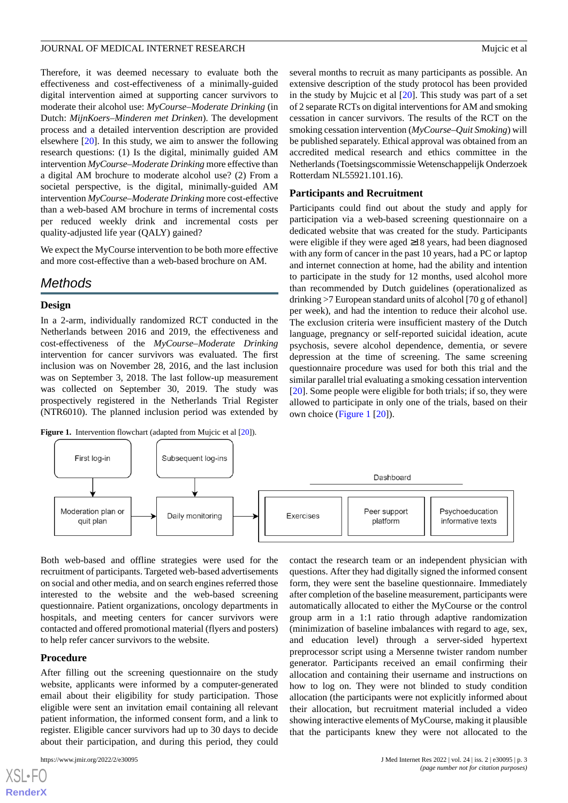Therefore, it was deemed necessary to evaluate both the effectiveness and cost-effectiveness of a minimally-guided digital intervention aimed at supporting cancer survivors to moderate their alcohol use: *MyCourse–Moderate Drinking* (in Dutch: *MijnKoers–Minderen met Drinken*). The development process and a detailed intervention description are provided elsewhere [[20\]](#page-13-7). In this study, we aim to answer the following research questions: (1) Is the digital, minimally guided AM intervention *MyCourse–Moderate Drinking* more effective than a digital AM brochure to moderate alcohol use? (2) From a societal perspective, is the digital, minimally-guided AM intervention *MyCourse–Moderate Drinking* more cost-effective than a web-based AM brochure in terms of incremental costs per reduced weekly drink and incremental costs per quality-adjusted life year (QALY) gained?

We expect the MyCourse intervention to be both more effective and more cost-effective than a web-based brochure on AM.

# *Methods*

#### **Design**

In a 2-arm, individually randomized RCT conducted in the Netherlands between 2016 and 2019, the effectiveness and cost-effectiveness of the *MyCourse–Moderate Drinking* intervention for cancer survivors was evaluated. The first inclusion was on November 28, 2016, and the last inclusion was on September 3, 2018. The last follow-up measurement was collected on September 30, 2019. The study was prospectively registered in the Netherlands Trial Register (NTR6010). The planned inclusion period was extended by

<span id="page-2-0"></span>**Figure 1.** Intervention flowchart (adapted from Mujcic et al [[20](#page-13-7)]).

several months to recruit as many participants as possible. An extensive description of the study protocol has been provided in the study by Mujcic et al [\[20](#page-13-7)]. This study was part of a set of 2 separate RCTs on digital interventions for AM and smoking cessation in cancer survivors. The results of the RCT on the smoking cessation intervention (*MyCourse–Quit Smoking*) will be published separately. Ethical approval was obtained from an accredited medical research and ethics committee in the Netherlands (Toetsingscommissie Wetenschappelijk Onderzoek Rotterdam NL55921.101.16).

#### **Participants and Recruitment**

Participants could find out about the study and apply for participation via a web-based screening questionnaire on a dedicated website that was created for the study. Participants were eligible if they were aged ≥18 years, had been diagnosed with any form of cancer in the past 10 years, had a PC or laptop and internet connection at home, had the ability and intention to participate in the study for 12 months, used alcohol more than recommended by Dutch guidelines (operationalized as drinking >7 European standard units of alcohol [70 g of ethanol] per week), and had the intention to reduce their alcohol use. The exclusion criteria were insufficient mastery of the Dutch language, pregnancy or self-reported suicidal ideation, acute psychosis, severe alcohol dependence, dementia, or severe depression at the time of screening. The same screening questionnaire procedure was used for both this trial and the similar parallel trial evaluating a smoking cessation intervention [[20\]](#page-13-7). Some people were eligible for both trials; if so, they were allowed to participate in only one of the trials, based on their own choice [\(Figure 1](#page-2-0) [\[20](#page-13-7)]).



Both web-based and offline strategies were used for the recruitment of participants. Targeted web-based advertisements on social and other media, and on search engines referred those interested to the website and the web-based screening questionnaire. Patient organizations, oncology departments in hospitals, and meeting centers for cancer survivors were contacted and offered promotional material (flyers and posters) to help refer cancer survivors to the website.

#### **Procedure**

After filling out the screening questionnaire on the study website, applicants were informed by a computer-generated email about their eligibility for study participation. Those eligible were sent an invitation email containing all relevant patient information, the informed consent form, and a link to register. Eligible cancer survivors had up to 30 days to decide about their participation, and during this period, they could

after completion of the baseline measurement, participants were automatically allocated to either the MyCourse or the control group arm in a 1:1 ratio through adaptive randomization (minimization of baseline imbalances with regard to age, sex, and education level) through a server-sided hypertext preprocessor script using a Mersenne twister random number generator. Participants received an email confirming their allocation and containing their username and instructions on how to log on. They were not blinded to study condition allocation (the participants were not explicitly informed about their allocation, but recruitment material included a video showing interactive elements of MyCourse, making it plausible that the participants knew they were not allocated to the

contact the research team or an independent physician with questions. After they had digitally signed the informed consent form, they were sent the baseline questionnaire. Immediately

```
XS • FO
RenderX
```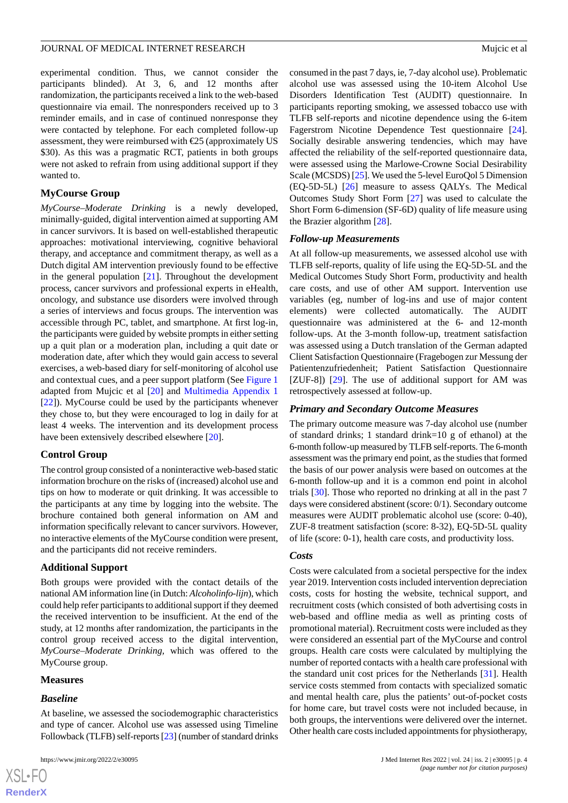experimental condition. Thus, we cannot consider the participants blinded). At 3, 6, and 12 months after randomization, the participants received a link to the web-based questionnaire via email. The nonresponders received up to 3 reminder emails, and in case of continued nonresponse they were contacted by telephone. For each completed follow-up assessment, they were reimbursed with  $E$ 5 (approximately US \$30). As this was a pragmatic RCT, patients in both groups were not asked to refrain from using additional support if they wanted to.

#### **MyCourse Group**

*MyCourse–Moderate Drinking* is a newly developed, minimally-guided, digital intervention aimed at supporting AM in cancer survivors. It is based on well-established therapeutic approaches: motivational interviewing, cognitive behavioral therapy, and acceptance and commitment therapy, as well as a Dutch digital AM intervention previously found to be effective in the general population [[21\]](#page-13-8). Throughout the development process, cancer survivors and professional experts in eHealth, oncology, and substance use disorders were involved through a series of interviews and focus groups. The intervention was accessible through PC, tablet, and smartphone. At first log-in, the participants were guided by website prompts in either setting up a quit plan or a moderation plan, including a quit date or moderation date, after which they would gain access to several exercises, a web-based diary for self-monitoring of alcohol use and contextual cues, and a peer support platform (See [Figure 1](#page-2-0) adapted from Mujcic et al [[20\]](#page-13-7) and [Multimedia Appendix 1](#page-12-12) [[22\]](#page-13-9)). MyCourse could be used by the participants whenever they chose to, but they were encouraged to log in daily for at least 4 weeks. The intervention and its development process have been extensively described elsewhere [[20\]](#page-13-7).

### **Control Group**

The control group consisted of a noninteractive web-based static information brochure on the risks of (increased) alcohol use and tips on how to moderate or quit drinking. It was accessible to the participants at any time by logging into the website. The brochure contained both general information on AM and information specifically relevant to cancer survivors. However, no interactive elements of the MyCourse condition were present, and the participants did not receive reminders.

#### **Additional Support**

Both groups were provided with the contact details of the national AM information line (in Dutch: *Alcoholinfo-lijn*), which could help refer participants to additional support if they deemed the received intervention to be insufficient. At the end of the study, at 12 months after randomization, the participants in the control group received access to the digital intervention, *MyCourse–Moderate Drinking,* which was offered to the MyCourse group.

#### **Measures**

#### *Baseline*

At baseline, we assessed the sociodemographic characteristics and type of cancer. Alcohol use was assessed using Timeline Followback (TLFB) self-reports [\[23\]](#page-13-10) (number of standard drinks

consumed in the past 7 days, ie, 7-day alcohol use). Problematic alcohol use was assessed using the 10-item Alcohol Use Disorders Identification Test (AUDIT) questionnaire. In participants reporting smoking, we assessed tobacco use with TLFB self-reports and nicotine dependence using the 6-item Fagerstrom Nicotine Dependence Test questionnaire [[24\]](#page-13-11). Socially desirable answering tendencies, which may have affected the reliability of the self-reported questionnaire data, were assessed using the Marlowe-Crowne Social Desirability Scale (MCSDS) [\[25\]](#page-13-12). We used the 5-level EuroQol 5 Dimension (EQ-5D-5L) [\[26](#page-13-13)] measure to assess QALYs. The Medical Outcomes Study Short Form [\[27](#page-13-14)] was used to calculate the Short Form 6-dimension (SF-6D) quality of life measure using the Brazier algorithm [\[28](#page-13-15)].

#### *Follow-up Measurements*

At all follow-up measurements, we assessed alcohol use with TLFB self-reports, quality of life using the EQ-5D-5L and the Medical Outcomes Study Short Form, productivity and health care costs, and use of other AM support. Intervention use variables (eg, number of log-ins and use of major content elements) were collected automatically. The AUDIT questionnaire was administered at the 6- and 12-month follow-ups. At the 3-month follow-up, treatment satisfaction was assessed using a Dutch translation of the German adapted Client Satisfaction Questionnaire (Fragebogen zur Messung der Patientenzufriedenheit; Patient Satisfaction Questionnaire [ZUF-8]) [[29\]](#page-13-16). The use of additional support for AM was retrospectively assessed at follow-up.

#### *Primary and Secondary Outcome Measures*

The primary outcome measure was 7-day alcohol use (number of standard drinks; 1 standard drink=10 g of ethanol) at the 6-month follow-up measured by TLFB self-reports. The 6-month assessment was the primary end point, as the studies that formed the basis of our power analysis were based on outcomes at the 6-month follow-up and it is a common end point in alcohol trials [[30\]](#page-13-17). Those who reported no drinking at all in the past 7 days were considered abstinent (score: 0/1). Secondary outcome measures were AUDIT problematic alcohol use (score: 0-40), ZUF-8 treatment satisfaction (score: 8-32), EQ-5D-5L quality of life (score: 0-1), health care costs, and productivity loss.

#### *Costs*

Costs were calculated from a societal perspective for the index year 2019. Intervention costs included intervention depreciation costs, costs for hosting the website, technical support, and recruitment costs (which consisted of both advertising costs in web-based and offline media as well as printing costs of promotional material). Recruitment costs were included as they were considered an essential part of the MyCourse and control groups. Health care costs were calculated by multiplying the number of reported contacts with a health care professional with the standard unit cost prices for the Netherlands [[31\]](#page-13-18). Health service costs stemmed from contacts with specialized somatic and mental health care, plus the patients' out-of-pocket costs for home care, but travel costs were not included because, in both groups, the interventions were delivered over the internet. Other health care costs included appointments for physiotherapy,

```
XS-FO
RenderX
```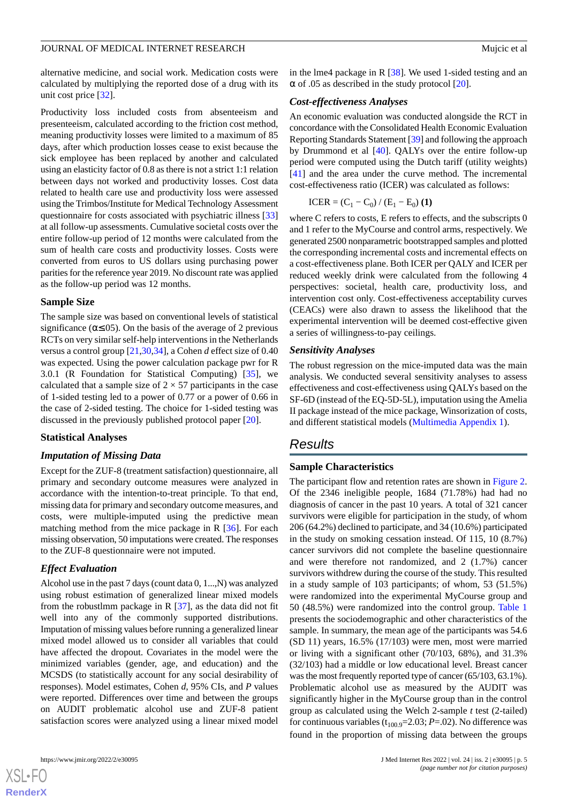alternative medicine, and social work. Medication costs were calculated by multiplying the reported dose of a drug with its unit cost price [\[32](#page-13-19)].

Productivity loss included costs from absenteeism and presenteeism, calculated according to the friction cost method, meaning productivity losses were limited to a maximum of 85 days, after which production losses cease to exist because the sick employee has been replaced by another and calculated using an elasticity factor of 0.8 as there is not a strict 1:1 relation between days not worked and productivity losses. Cost data related to health care use and productivity loss were assessed using the Trimbos/Institute for Medical Technology Assessment questionnaire for costs associated with psychiatric illness [\[33](#page-13-20)] at all follow-up assessments. Cumulative societal costs over the entire follow-up period of 12 months were calculated from the sum of health care costs and productivity losses. Costs were converted from euros to US dollars using purchasing power parities for the reference year 2019. No discount rate was applied as the follow-up period was 12 months.

#### **Sample Size**

The sample size was based on conventional levels of statistical significance ( $\alpha \leq 0.05$ ). On the basis of the average of 2 previous RCTs on very similar self-help interventions in the Netherlands versus a control group [\[21](#page-13-8),[30,](#page-13-17)[34](#page-13-21)], a Cohen *d* effect size of 0.40 was expected. Using the power calculation package pwr for R 3.0.1 (R Foundation for Statistical Computing) [[35\]](#page-13-22), we calculated that a sample size of  $2 \times 57$  participants in the case of 1-sided testing led to a power of 0.77 or a power of 0.66 in the case of 2-sided testing. The choice for 1-sided testing was discussed in the previously published protocol paper [\[20](#page-13-7)].

#### **Statistical Analyses**

## *Imputation of Missing Data*

Except for the ZUF-8 (treatment satisfaction) questionnaire, all primary and secondary outcome measures were analyzed in accordance with the intention-to-treat principle. To that end, missing data for primary and secondary outcome measures, and costs, were multiple-imputed using the predictive mean matching method from the mice package in R [\[36](#page-14-0)]. For each missing observation, 50 imputations were created. The responses to the ZUF-8 questionnaire were not imputed.

#### *Effect Evaluation*

Alcohol use in the past 7 days (count data 0, 1...,N) was analyzed using robust estimation of generalized linear mixed models from the robustlmm package in R  $[37]$  $[37]$ , as the data did not fit well into any of the commonly supported distributions. Imputation of missing values before running a generalized linear mixed model allowed us to consider all variables that could have affected the dropout. Covariates in the model were the minimized variables (gender, age, and education) and the MCSDS (to statistically account for any social desirability of responses). Model estimates, Cohen *d*, 95% CIs, and *P* values were reported. Differences over time and between the groups on AUDIT problematic alcohol use and ZUF-8 patient satisfaction scores were analyzed using a linear mixed model

 $XS$ -FO **[RenderX](http://www.renderx.com/)** in the lme4 package in R [[38\]](#page-14-2). We used 1-sided testing and an  $\alpha$  of .05 as described in the study protocol [\[20](#page-13-7)].

#### *Cost-effectiveness Analyses*

An economic evaluation was conducted alongside the RCT in concordance with the Consolidated Health Economic Evaluation Reporting Standards Statement [[39\]](#page-14-3) and following the approach by Drummond et al [\[40](#page-14-4)]. QALYs over the entire follow-up period were computed using the Dutch tariff (utility weights) [[41\]](#page-14-5) and the area under the curve method. The incremental cost-effectiveness ratio (ICER) was calculated as follows:

$$
ICER = (C_1 - C_0) / (E_1 - E_0)
$$
 (1)

where C refers to costs, E refers to effects, and the subscripts 0 and 1 refer to the MyCourse and control arms, respectively. We generated 2500 nonparametric bootstrapped samples and plotted the corresponding incremental costs and incremental effects on a cost-effectiveness plane. Both ICER per QALY and ICER per reduced weekly drink were calculated from the following 4 perspectives: societal, health care, productivity loss, and intervention cost only. Cost-effectiveness acceptability curves (CEACs) were also drawn to assess the likelihood that the experimental intervention will be deemed cost-effective given a series of willingness-to-pay ceilings.

#### *Sensitivity Analyses*

The robust regression on the mice-imputed data was the main analysis. We conducted several sensitivity analyses to assess effectiveness and cost-effectiveness using QALYs based on the SF-6D (instead of the EQ-5D-5L), imputation using the Amelia II package instead of the mice package, Winsorization of costs, and different statistical models [\(Multimedia Appendix 1](#page-12-12)).

# *Results*

#### **Sample Characteristics**

The participant flow and retention rates are shown in [Figure 2](#page-5-0). Of the 2346 ineligible people, 1684 (71.78%) had had no diagnosis of cancer in the past 10 years. A total of 321 cancer survivors were eligible for participation in the study, of whom 206 (64.2%) declined to participate, and 34 (10.6%) participated in the study on smoking cessation instead. Of 115, 10 (8.7%) cancer survivors did not complete the baseline questionnaire and were therefore not randomized, and 2 (1.7%) cancer survivors withdrew during the course of the study. This resulted in a study sample of 103 participants; of whom, 53 (51.5%) were randomized into the experimental MyCourse group and 50 (48.5%) were randomized into the control group. [Table 1](#page-6-0) presents the sociodemographic and other characteristics of the sample. In summary, the mean age of the participants was 54.6 (SD 11) years, 16.5% (17/103) were men, most were married or living with a significant other (70/103, 68%), and 31.3% (32/103) had a middle or low educational level. Breast cancer was the most frequently reported type of cancer (65/103, 63.1%). Problematic alcohol use as measured by the AUDIT was significantly higher in the MyCourse group than in the control group as calculated using the Welch 2-sample *t* test (2-tailed) for continuous variables  $(t_{100.9} = 2.03; P = .02)$ . No difference was found in the proportion of missing data between the groups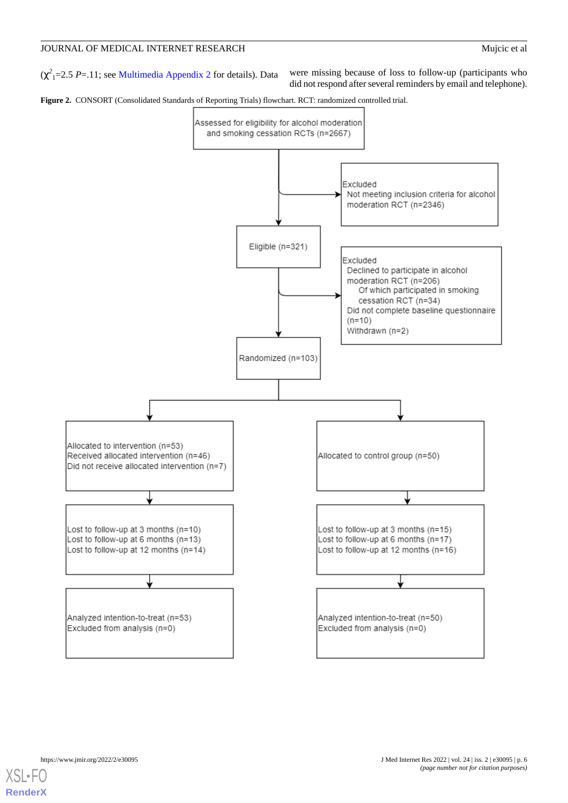$(\chi^2)$  = 2.5 *P*=.11; see [Multimedia Appendix 2](#page-12-13) for details). Data were missing because of loss to follow-up (participants who

did not respond after several reminders by email and telephone).

<span id="page-5-0"></span>**Figure 2.** CONSORT (Consolidated Standards of Reporting Trials) flowchart. RCT: randomized controlled trial.



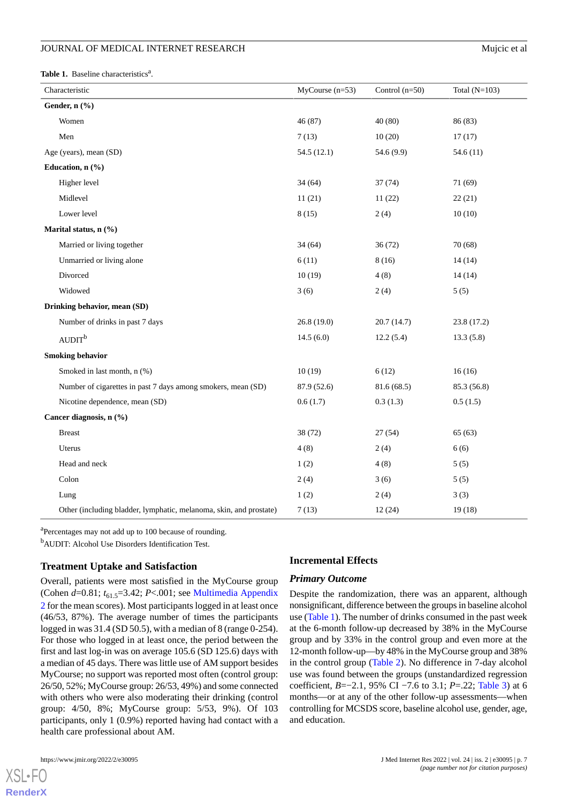<span id="page-6-0"></span>Table 1. Baseline characteristics<sup>a</sup>.

| Characteristic                                                     | $MyCourse (n=53)$ | Control $(n=50)$ | Total $(N=103)$ |
|--------------------------------------------------------------------|-------------------|------------------|-----------------|
| Gender, n (%)                                                      |                   |                  |                 |
| Women                                                              | 46 (87)           | 40 (80)          | 86 (83)         |
| Men                                                                | 7(13)             | 10(20)           | 17(17)          |
| Age (years), mean (SD)                                             | 54.5 (12.1)       | 54.6 (9.9)       | 54.6(11)        |
| Education, n (%)                                                   |                   |                  |                 |
| Higher level                                                       | 34(64)            | 37(74)           | 71 (69)         |
| Midlevel                                                           | 11(21)            | 11(22)           | 22(21)          |
| Lower level                                                        | 8(15)             | 2(4)             | 10(10)          |
| Marital status, n (%)                                              |                   |                  |                 |
| Married or living together                                         | 34(64)            | 36(72)           | 70 (68)         |
| Unmarried or living alone                                          | 6(11)             | 8(16)            | 14(14)          |
| Divorced                                                           | 10(19)            | 4(8)             | 14(14)          |
| Widowed                                                            | 3(6)              | 2(4)             | 5(5)            |
| Drinking behavior, mean (SD)                                       |                   |                  |                 |
| Number of drinks in past 7 days                                    | 26.8(19.0)        | 20.7(14.7)       | 23.8 (17.2)     |
| AUDIT <sup>b</sup>                                                 | 14.5(6.0)         | 12.2(5.4)        | 13.3(5.8)       |
| <b>Smoking behavior</b>                                            |                   |                  |                 |
| Smoked in last month, n (%)                                        | 10(19)            | 6(12)            | 16(16)          |
| Number of cigarettes in past 7 days among smokers, mean (SD)       | 87.9 (52.6)       | 81.6(68.5)       | 85.3 (56.8)     |
| Nicotine dependence, mean (SD)                                     | 0.6(1.7)          | 0.3(1.3)         | 0.5(1.5)        |
| Cancer diagnosis, n (%)                                            |                   |                  |                 |
| <b>Breast</b>                                                      | 38 (72)           | 27(54)           | 65(63)          |
| Uterus                                                             | 4(8)              | 2(4)             | 6(6)            |
| Head and neck                                                      | 1(2)              | 4(8)             | 5(5)            |
| Colon                                                              | 2(4)              | 3(6)             | 5(5)            |
| Lung                                                               | 1(2)              | 2(4)             | 3(3)            |
| Other (including bladder, lymphatic, melanoma, skin, and prostate) | 7(13)             | 12(24)           | 19(18)          |

<sup>a</sup>Percentages may not add up to 100 because of rounding.

<sup>b</sup>AUDIT: Alcohol Use Disorders Identification Test.

#### **Treatment Uptake and Satisfaction**

Overall, patients were most satisfied in the MyCourse group (Cohen *d*=0.81;  $t_{61}$ ,  $=$ 3.42; *P*<.001; see [Multimedia Appendix](#page-12-13) [2](#page-12-13) for the mean scores). Most participants logged in at least once (46/53, 87%). The average number of times the participants logged in was 31.4 (SD 50.5), with a median of 8 (range 0-254). For those who logged in at least once, the period between the first and last log-in was on average 105.6 (SD 125.6) days with a median of 45 days. There was little use of AM support besides MyCourse; no support was reported most often (control group: 26/50, 52%; MyCourse group: 26/53, 49%) and some connected with others who were also moderating their drinking (control group: 4/50, 8%; MyCourse group: 5/53, 9%). Of 103 participants, only 1 (0.9%) reported having had contact with a health care professional about AM.

[XSL](http://www.w3.org/Style/XSL)•FO **[RenderX](http://www.renderx.com/)**

#### **Incremental Effects**

#### *Primary Outcome*

Despite the randomization, there was an apparent, although nonsignificant, difference between the groups in baseline alcohol use [\(Table 1](#page-6-0)). The number of drinks consumed in the past week at the 6-month follow-up decreased by 38% in the MyCourse group and by 33% in the control group and even more at the 12-month follow-up—by 48% in the MyCourse group and 38% in the control group [\(Table 2](#page-7-0)). No difference in 7-day alcohol use was found between the groups (unstandardized regression coefficient, *B*=−2.1, 95% CI −7.6 to 3.1; *P*=.22; [Table 3](#page-7-1)) at 6 months—or at any of the other follow-up assessments—when controlling for MCSDS score, baseline alcohol use, gender, age, and education.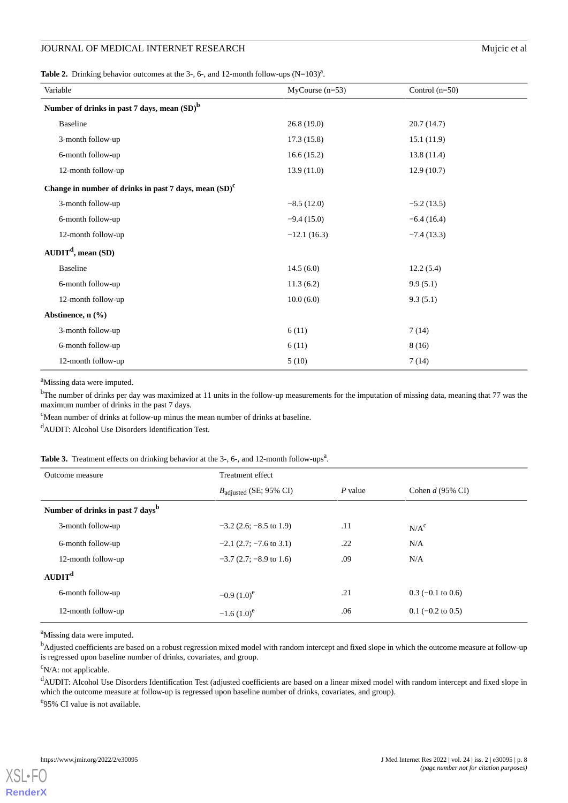# JOURNAL OF MEDICAL INTERNET RESEARCH Mujcic et al

<span id="page-7-0"></span>**Table 2.** Drinking behavior outcomes at the 3-, 6-, and 12-month follow-ups  $(N=103)^{a}$ .

| Variable                                                   | $MyCourse (n=53)$ | Control $(n=50)$ |
|------------------------------------------------------------|-------------------|------------------|
| Number of drinks in past 7 days, mean (SD) <sup>b</sup>    |                   |                  |
| Baseline                                                   | 26.8(19.0)        | 20.7(14.7)       |
| 3-month follow-up                                          | 17.3(15.8)        | 15.1(11.9)       |
| 6-month follow-up                                          | 16.6(15.2)        | 13.8(11.4)       |
| 12-month follow-up                                         | 13.9(11.0)        | 12.9(10.7)       |
| Change in number of drinks in past 7 days, mean $(SD)^{c}$ |                   |                  |
| 3-month follow-up                                          | $-8.5(12.0)$      | $-5.2(13.5)$     |
| 6-month follow-up                                          | $-9.4(15.0)$      | $-6.4(16.4)$     |
| 12-month follow-up                                         | $-12.1(16.3)$     | $-7.4(13.3)$     |
| $AUDITd$ , mean (SD)                                       |                   |                  |
| <b>Baseline</b>                                            | 14.5(6.0)         | 12.2(5.4)        |
| 6-month follow-up                                          | 11.3(6.2)         | 9.9(5.1)         |
| 12-month follow-up                                         | 10.0(6.0)         | 9.3(5.1)         |
| Abstinence, $n$ (%)                                        |                   |                  |
| 3-month follow-up                                          | 6(11)             | 7(14)            |
| 6-month follow-up                                          | 6(11)             | 8 (16)           |
| 12-month follow-up                                         | 5(10)             | 7(14)            |

<sup>a</sup>Missing data were imputed.

<sup>b</sup>The number of drinks per day was maximized at 11 units in the follow-up measurements for the imputation of missing data, meaning that 77 was the maximum number of drinks in the past 7 days.

<span id="page-7-1"></span><sup>c</sup>Mean number of drinks at follow-up minus the mean number of drinks at baseline.

<sup>d</sup>AUDIT: Alcohol Use Disorders Identification Test.

#### Table 3. Treatment effects on drinking behavior at the 3-, 6-, and 12-month follow-ups<sup>a</sup>.

| Outcome measure                              | Treatment effect                   |           |                     |
|----------------------------------------------|------------------------------------|-----------|---------------------|
|                                              | $B_{\text{adjusted}}$ (SE; 95% CI) | $P$ value | Cohen $d$ (95% CI)  |
| Number of drinks in past 7 days <sup>b</sup> |                                    |           |                     |
| 3-month follow-up                            | $-3.2$ (2.6; $-8.5$ to 1.9)        | .11       | N/A <sup>c</sup>    |
| 6-month follow-up                            | $-2.1$ (2.7; $-7.6$ to 3.1)        | .22       | N/A                 |
| 12-month follow-up                           | $-3.7$ (2.7; $-8.9$ to 1.6)        | .09       | N/A                 |
| AUDIT <sup>d</sup>                           |                                    |           |                     |
| 6-month follow-up                            | $-0.9(1.0)^e$                      | .21       | $0.3$ (-0.1 to 0.6) |
| 12-month follow-up                           | $-1.6(1.0)^e$                      | .06       | $0.1$ (-0.2 to 0.5) |

<sup>a</sup>Missing data were imputed.

<sup>b</sup>Adjusted coefficients are based on a robust regression mixed model with random intercept and fixed slope in which the outcome measure at follow-up is regressed upon baseline number of drinks, covariates, and group.

 $\rm^c$ N/A: not applicable.

<sup>d</sup>AUDIT: Alcohol Use Disorders Identification Test (adjusted coefficients are based on a linear mixed model with random intercept and fixed slope in which the outcome measure at follow-up is regressed upon baseline number of drinks, covariates, and group).

<sup>e</sup>95% CI value is not available.

**[RenderX](http://www.renderx.com/)**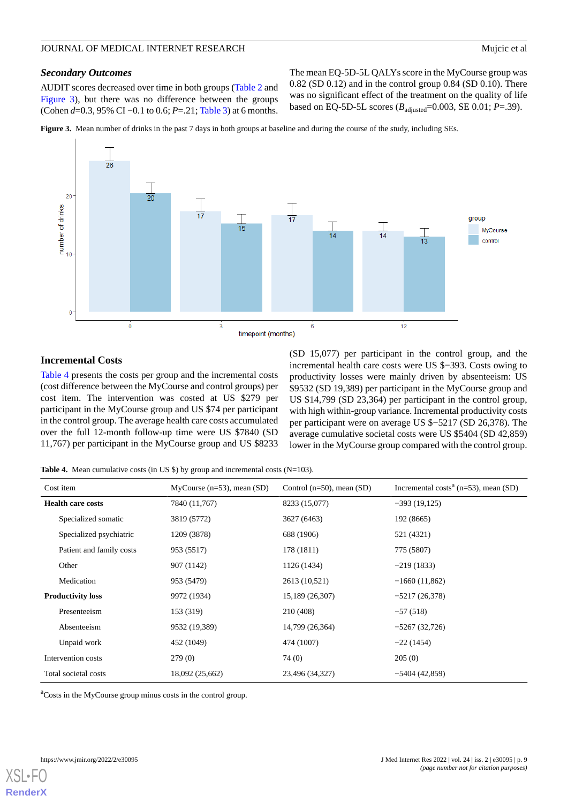#### *Secondary Outcomes*

AUDIT scores decreased over time in both groups ([Table 2](#page-7-0) and [Figure 3](#page-8-0)), but there was no difference between the groups (Cohen *d*=0.3, 95% CI −0.1 to 0.6; *P*=.21; [Table 3](#page-7-1)) at 6 months. The mean EQ-5D-5L QALYs score in the MyCourse group was 0.82 (SD 0.12) and in the control group 0.84 (SD 0.10). There was no significant effect of the treatment on the quality of life based on EQ-5D-5L scores ( $B_{\text{adjusted}}$ =0.003, SE 0.01; *P*=.39).

<span id="page-8-0"></span>**Figure 3.** Mean number of drinks in the past 7 days in both groups at baseline and during the course of the study, including SEs.



# **Incremental Costs**

[Table 4](#page-8-1) presents the costs per group and the incremental costs (cost difference between the MyCourse and control groups) per cost item. The intervention was costed at US \$279 per participant in the MyCourse group and US \$74 per participant in the control group. The average health care costs accumulated over the full 12-month follow-up time were US \$7840 (SD 11,767) per participant in the MyCourse group and US \$8233

(SD 15,077) per participant in the control group, and the incremental health care costs were US \$−393. Costs owing to productivity losses were mainly driven by absenteeism: US \$9532 (SD 19,389) per participant in the MyCourse group and US \$14,799 (SD 23,364) per participant in the control group, with high within-group variance. Incremental productivity costs per participant were on average US \$−5217 (SD 26,378). The average cumulative societal costs were US \$5404 (SD 42,859) lower in the MyCourse group compared with the control group.

<span id="page-8-1"></span>**Table 4.** Mean cumulative costs (in US \$) by group and incremental costs (N=103).

| Cost item                | $MyCourse (n=53), mean (SD)$ | Control ( $n=50$ ), mean (SD) | Incremental costs <sup><math>a</math></sup> (n=53), mean (SD) |
|--------------------------|------------------------------|-------------------------------|---------------------------------------------------------------|
| <b>Health care costs</b> | 7840 (11,767)                | 8233 (15,077)                 | $-393(19,125)$                                                |
| Specialized somatic      | 3819 (5772)                  | 3627 (6463)                   | 192 (8665)                                                    |
| Specialized psychiatric  | 1209 (3878)                  | 688 (1906)                    | 521 (4321)                                                    |
| Patient and family costs | 953 (5517)                   | 178 (1811)                    | 775 (5807)                                                    |
| Other                    | 907 (1142)                   | 1126 (1434)                   | $-219(1833)$                                                  |
| Medication               | 953 (5479)                   | 2613 (10,521)                 | $-1660(11,862)$                                               |
| <b>Productivity loss</b> | 9972 (1934)                  | 15,189 (26,307)               | $-5217(26,378)$                                               |
| Presenteeism             | 153 (319)                    | 210 (408)                     | $-57(518)$                                                    |
| Absenteeism              | 9532 (19,389)                | 14,799 (26,364)               | $-5267(32,726)$                                               |
| Unpaid work              | 452 (1049)                   | 474 (1007)                    | $-22(1454)$                                                   |
| Intervention costs       | 279 (0)                      | 74 (0)                        | 205(0)                                                        |
| Total societal costs     | 18,092 (25,662)              | 23,496 (34,327)               | $-5404(42,859)$                                               |

<sup>a</sup>Costs in the MyCourse group minus costs in the control group.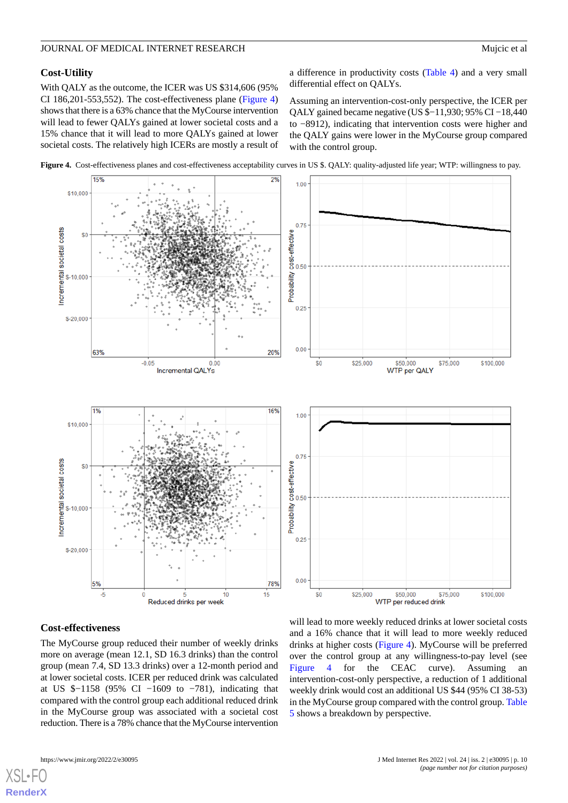#### **Cost-Utility**

With QALY as the outcome, the ICER was US \$314,606 (95% CI 186,201-553,552). The cost-effectiveness plane [\(Figure 4](#page-9-0)) shows that there is a 63% chance that the MyCourse intervention will lead to fewer QALYs gained at lower societal costs and a 15% chance that it will lead to more QALYs gained at lower societal costs. The relatively high ICERs are mostly a result of a difference in productivity costs [\(Table 4\)](#page-8-1) and a very small differential effect on QALYs.

Assuming an intervention-cost-only perspective, the ICER per QALY gained became negative (US \$−11,930; 95% CI −18,440 to −8912), indicating that intervention costs were higher and the QALY gains were lower in the MyCourse group compared with the control group.

<span id="page-9-0"></span>



#### **Cost-effectiveness**

The MyCourse group reduced their number of weekly drinks more on average (mean 12.1, SD 16.3 drinks) than the control group (mean 7.4, SD 13.3 drinks) over a 12-month period and at lower societal costs. ICER per reduced drink was calculated at US \$−1158 (95% CI −1609 to −781), indicating that compared with the control group each additional reduced drink in the MyCourse group was associated with a societal cost reduction. There is a 78% chance that the MyCourse intervention

will lead to more weekly reduced drinks at lower societal costs and a 16% chance that it will lead to more weekly reduced drinks at higher costs ([Figure 4\)](#page-9-0). MyCourse will be preferred over the control group at any willingness-to-pay level (see [Figure 4](#page-9-0) for the CEAC curve). Assuming an intervention-cost-only perspective, a reduction of 1 additional weekly drink would cost an additional US \$44 (95% CI 38-53) in the MyCourse group compared with the control group. [Table](#page-10-0) [5](#page-10-0) shows a breakdown by perspective.

[XSL](http://www.w3.org/Style/XSL)•FO **[RenderX](http://www.renderx.com/)**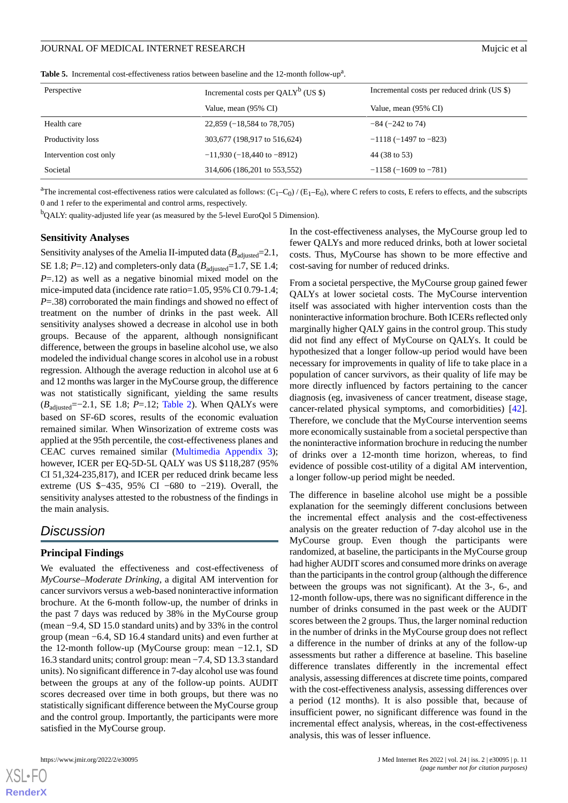<span id="page-10-0"></span>

|  |  |  | <b>Table 5.</b> Incremental cost-effectiveness ratios between baseline and the 12-month follow-up <sup>a</sup> . |
|--|--|--|------------------------------------------------------------------------------------------------------------------|
|--|--|--|------------------------------------------------------------------------------------------------------------------|

| Perspective            | Incremental costs per $QALY^b$ (US \$) | Incremental costs per reduced drink (US \$) |
|------------------------|----------------------------------------|---------------------------------------------|
|                        | Value, mean (95% CI)                   | Value, mean (95% CI)                        |
| Health care            | $22,859$ (-18,584 to 78,705)           | $-84$ ( $-242$ to 74)                       |
| Productivity loss      | 303,677 (198,917 to 516,624)           | $-1118$ (-1497 to -823)                     |
| Intervention cost only | $-11,930$ ( $-18,440$ to $-8912$ )     | 44 (38 to 53)                               |
| Societal               | 314,606 (186,201 to 553,552)           | $-1158(-1609$ to $-781$ )                   |

<sup>a</sup>The incremental cost-effectiveness ratios were calculated as follows:  $(C_1-C_0) / (E_1-E_0)$ , where C refers to costs, E refers to effects, and the subscripts 0 and 1 refer to the experimental and control arms, respectively.

 $b_{\text{QALY: quality-adjusted life year (as measured by the 5-level EuroQol 5 Dimension)}$ .

#### **Sensitivity Analyses**

Sensitivity analyses of the Amelia II-imputed data  $(B_{\text{adjusted}}=2.1,$ SE 1.8;  $P = .12$ ) and completers-only data ( $B_{\text{adjusted}} = 1.7$ , SE 1.4; *P*=.12) as well as a negative binomial mixed model on the mice-imputed data (incidence rate ratio=1.05, 95% CI 0.79-1.4; *P*=.38) corroborated the main findings and showed no effect of treatment on the number of drinks in the past week. All sensitivity analyses showed a decrease in alcohol use in both groups. Because of the apparent, although nonsignificant difference, between the groups in baseline alcohol use, we also modeled the individual change scores in alcohol use in a robust regression. Although the average reduction in alcohol use at 6 and 12 months was larger in the MyCourse group, the difference was not statistically significant, yielding the same results (*B*<sub>adiusted</sub>=−2.1, SE 1.8; *P*=.12; [Table 2\)](#page-7-0). When QALYs were based on SF-6D scores, results of the economic evaluation remained similar. When Winsorization of extreme costs was applied at the 95th percentile, the cost-effectiveness planes and CEAC curves remained similar ([Multimedia Appendix 3\)](#page-12-14); however, ICER per EQ-5D-5L QALY was US \$118,287 (95% CI 51,324-235,817), and ICER per reduced drink became less extreme (US \$−435, 95% CI −680 to −219). Overall, the sensitivity analyses attested to the robustness of the findings in the main analysis.

# *Discussion*

#### **Principal Findings**

We evaluated the effectiveness and cost-effectiveness of *MyCourse–Moderate Drinking*, a digital AM intervention for cancer survivors versus a web-based noninteractive information brochure. At the 6-month follow-up, the number of drinks in the past 7 days was reduced by 38% in the MyCourse group (mean −9.4, SD 15.0 standard units) and by 33% in the control group (mean −6.4, SD 16.4 standard units) and even further at the 12-month follow-up (MyCourse group: mean −12.1, SD 16.3 standard units; control group: mean −7.4, SD 13.3 standard units). No significant difference in 7-day alcohol use was found between the groups at any of the follow-up points. AUDIT scores decreased over time in both groups, but there was no statistically significant difference between the MyCourse group and the control group. Importantly, the participants were more satisfied in the MyCourse group.

[XSL](http://www.w3.org/Style/XSL)•FO **[RenderX](http://www.renderx.com/)**

In the cost-effectiveness analyses, the MyCourse group led to fewer QALYs and more reduced drinks, both at lower societal costs. Thus, MyCourse has shown to be more effective and cost-saving for number of reduced drinks.

From a societal perspective, the MyCourse group gained fewer QALYs at lower societal costs. The MyCourse intervention itself was associated with higher intervention costs than the noninteractive information brochure. Both ICERs reflected only marginally higher QALY gains in the control group. This study did not find any effect of MyCourse on QALYs. It could be hypothesized that a longer follow-up period would have been necessary for improvements in quality of life to take place in a population of cancer survivors, as their quality of life may be more directly influenced by factors pertaining to the cancer diagnosis (eg, invasiveness of cancer treatment, disease stage, cancer-related physical symptoms, and comorbidities) [[42\]](#page-14-6). Therefore, we conclude that the MyCourse intervention seems more economically sustainable from a societal perspective than the noninteractive information brochure in reducing the number of drinks over a 12-month time horizon, whereas, to find evidence of possible cost-utility of a digital AM intervention, a longer follow-up period might be needed.

The difference in baseline alcohol use might be a possible explanation for the seemingly different conclusions between the incremental effect analysis and the cost-effectiveness analysis on the greater reduction of 7-day alcohol use in the MyCourse group. Even though the participants were randomized, at baseline, the participants in the MyCourse group had higher AUDIT scores and consumed more drinks on average than the participants in the control group (although the difference between the groups was not significant). At the 3-, 6-, and 12-month follow-ups, there was no significant difference in the number of drinks consumed in the past week or the AUDIT scores between the 2 groups. Thus, the larger nominal reduction in the number of drinks in the MyCourse group does not reflect a difference in the number of drinks at any of the follow-up assessments but rather a difference at baseline. This baseline difference translates differently in the incremental effect analysis, assessing differences at discrete time points, compared with the cost-effectiveness analysis, assessing differences over a period (12 months). It is also possible that, because of insufficient power, no significant difference was found in the incremental effect analysis, whereas, in the cost-effectiveness analysis, this was of lesser influence.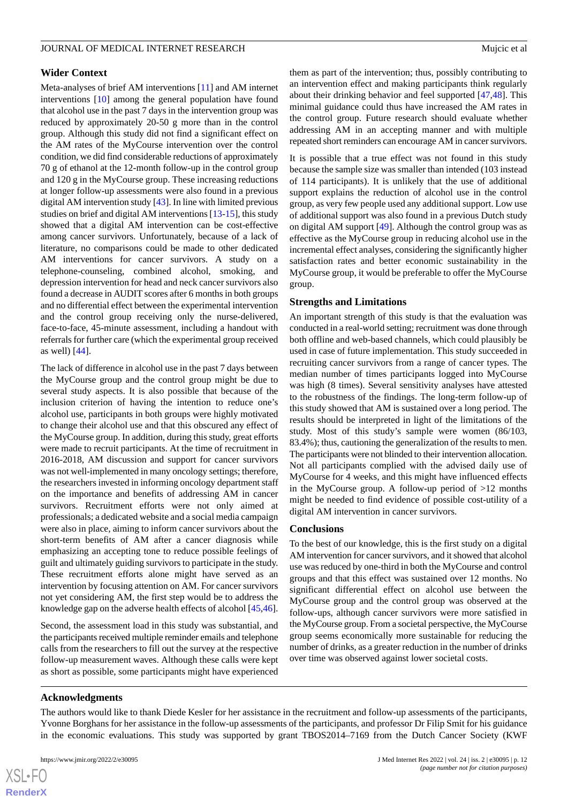#### **Wider Context**

Meta-analyses of brief AM interventions [\[11](#page-12-10)] and AM internet interventions [[10\]](#page-12-9) among the general population have found that alcohol use in the past 7 days in the intervention group was reduced by approximately 20-50 g more than in the control group. Although this study did not find a significant effect on the AM rates of the MyCourse intervention over the control condition, we did find considerable reductions of approximately 70 g of ethanol at the 12-month follow-up in the control group and 120 g in the MyCourse group. These increasing reductions at longer follow-up assessments were also found in a previous digital AM intervention study [[43\]](#page-14-7). In line with limited previous studies on brief and digital AM interventions [\[13](#page-13-0)[-15](#page-13-2)], this study showed that a digital AM intervention can be cost-effective among cancer survivors. Unfortunately, because of a lack of literature, no comparisons could be made to other dedicated AM interventions for cancer survivors. A study on a telephone-counseling, combined alcohol, smoking, and depression intervention for head and neck cancer survivors also found a decrease in AUDIT scores after 6 months in both groups and no differential effect between the experimental intervention and the control group receiving only the nurse-delivered, face-to-face, 45-minute assessment, including a handout with referrals for further care (which the experimental group received as well) [[44\]](#page-14-8).

The lack of difference in alcohol use in the past 7 days between the MyCourse group and the control group might be due to several study aspects. It is also possible that because of the inclusion criterion of having the intention to reduce one's alcohol use, participants in both groups were highly motivated to change their alcohol use and that this obscured any effect of the MyCourse group. In addition, during this study, great efforts were made to recruit participants. At the time of recruitment in 2016-2018, AM discussion and support for cancer survivors was not well-implemented in many oncology settings; therefore, the researchers invested in informing oncology department staff on the importance and benefits of addressing AM in cancer survivors. Recruitment efforts were not only aimed at professionals; a dedicated website and a social media campaign were also in place, aiming to inform cancer survivors about the short-term benefits of AM after a cancer diagnosis while emphasizing an accepting tone to reduce possible feelings of guilt and ultimately guiding survivors to participate in the study. These recruitment efforts alone might have served as an intervention by focusing attention on AM. For cancer survivors not yet considering AM, the first step would be to address the knowledge gap on the adverse health effects of alcohol [\[45](#page-14-9),[46\]](#page-14-10).

Second, the assessment load in this study was substantial, and the participants received multiple reminder emails and telephone calls from the researchers to fill out the survey at the respective follow-up measurement waves. Although these calls were kept as short as possible, some participants might have experienced them as part of the intervention; thus, possibly contributing to an intervention effect and making participants think regularly about their drinking behavior and feel supported [[47](#page-14-11)[,48](#page-14-12)]. This minimal guidance could thus have increased the AM rates in the control group. Future research should evaluate whether addressing AM in an accepting manner and with multiple repeated short reminders can encourage AM in cancer survivors.

It is possible that a true effect was not found in this study because the sample size was smaller than intended (103 instead of 114 participants). It is unlikely that the use of additional support explains the reduction of alcohol use in the control group, as very few people used any additional support. Low use of additional support was also found in a previous Dutch study on digital AM support [[49\]](#page-14-13). Although the control group was as effective as the MyCourse group in reducing alcohol use in the incremental effect analyses, considering the significantly higher satisfaction rates and better economic sustainability in the MyCourse group, it would be preferable to offer the MyCourse group.

#### **Strengths and Limitations**

An important strength of this study is that the evaluation was conducted in a real-world setting; recruitment was done through both offline and web-based channels, which could plausibly be used in case of future implementation. This study succeeded in recruiting cancer survivors from a range of cancer types. The median number of times participants logged into MyCourse was high (8 times). Several sensitivity analyses have attested to the robustness of the findings. The long-term follow-up of this study showed that AM is sustained over a long period. The results should be interpreted in light of the limitations of the study. Most of this study's sample were women (86/103, 83.4%); thus, cautioning the generalization of the results to men. The participants were not blinded to their intervention allocation. Not all participants complied with the advised daily use of MyCourse for 4 weeks, and this might have influenced effects in the MyCourse group. A follow-up period of  $>12$  months might be needed to find evidence of possible cost-utility of a digital AM intervention in cancer survivors.

#### **Conclusions**

To the best of our knowledge, this is the first study on a digital AM intervention for cancer survivors, and it showed that alcohol use was reduced by one-third in both the MyCourse and control groups and that this effect was sustained over 12 months. No significant differential effect on alcohol use between the MyCourse group and the control group was observed at the follow-ups, although cancer survivors were more satisfied in the MyCourse group. From a societal perspective, the MyCourse group seems economically more sustainable for reducing the number of drinks, as a greater reduction in the number of drinks over time was observed against lower societal costs.

#### **Acknowledgments**

The authors would like to thank Diede Kesler for her assistance in the recruitment and follow-up assessments of the participants, Yvonne Borghans for her assistance in the follow-up assessments of the participants, and professor Dr Filip Smit for his guidance in the economic evaluations. This study was supported by grant TBOS2014–7169 from the Dutch Cancer Society (KWF

 $XS$ -FO **[RenderX](http://www.renderx.com/)**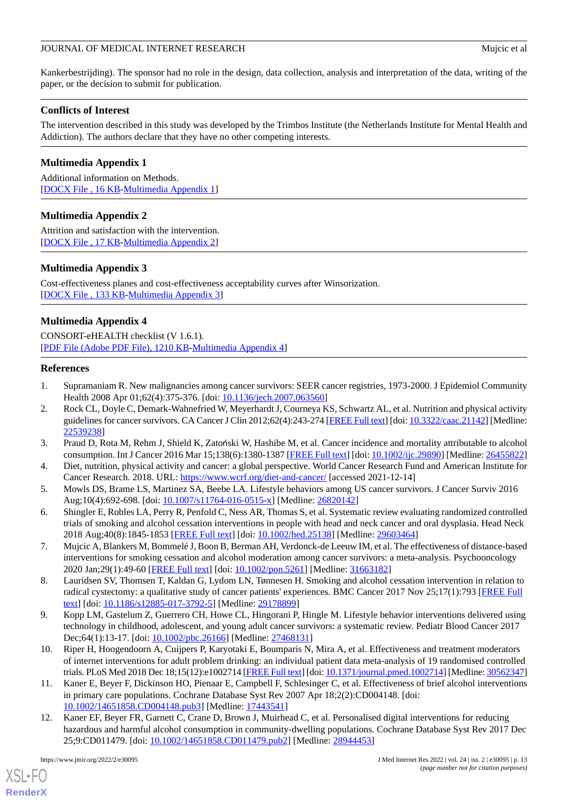Kankerbestrijding). The sponsor had no role in the design, data collection, analysis and interpretation of the data, writing of the paper, or the decision to submit for publication.

# **Conflicts of Interest**

The intervention described in this study was developed by the Trimbos Institute (the Netherlands Institute for Mental Health and Addiction). The authors declare that they have no other competing interests.

# <span id="page-12-12"></span>**Multimedia Appendix 1**

<span id="page-12-13"></span>Additional information on Methods. [[DOCX File , 16 KB](https://jmir.org/api/download?alt_name=jmir_v24i2e30095_app1.docx&filename=5f0780581cd6f63722cc48b71c2305e7.docx)-[Multimedia Appendix 1\]](https://jmir.org/api/download?alt_name=jmir_v24i2e30095_app1.docx&filename=5f0780581cd6f63722cc48b71c2305e7.docx)

# **Multimedia Appendix 2**

<span id="page-12-14"></span>Attrition and satisfaction with the intervention. [[DOCX File , 17 KB](https://jmir.org/api/download?alt_name=jmir_v24i2e30095_app2.docx&filename=d6267fff894a26c58808003420691591.docx)-[Multimedia Appendix 2\]](https://jmir.org/api/download?alt_name=jmir_v24i2e30095_app2.docx&filename=d6267fff894a26c58808003420691591.docx)

# **Multimedia Appendix 3**

Cost-effectiveness planes and cost-effectiveness acceptability curves after Winsorization. [DOCX File, 133 KB-Multimedia Appendix 3]

# **Multimedia Appendix 4**

<span id="page-12-0"></span>CONSORT-eHEALTH checklist (V 1.6.1). [[PDF File \(Adobe PDF File\), 1210 KB](https://jmir.org/api/download?alt_name=jmir_v24i2e30095_app4.pdf&filename=8ebbdeec9b1fb03895222448115b9795.pdf)-[Multimedia Appendix 4\]](https://jmir.org/api/download?alt_name=jmir_v24i2e30095_app4.pdf&filename=8ebbdeec9b1fb03895222448115b9795.pdf)

### <span id="page-12-1"></span>**References**

- 1. Supramaniam R. New malignancies among cancer survivors: SEER cancer registries, 1973-2000. J Epidemiol Community Health 2008 Apr 01;62(4):375-376. [doi: [10.1136/jech.2007.063560](http://dx.doi.org/10.1136/jech.2007.063560)]
- <span id="page-12-3"></span><span id="page-12-2"></span>2. Rock CL, Doyle C, Demark-Wahnefried W, Meyerhardt J, Courneya KS, Schwartz AL, et al. Nutrition and physical activity guidelines for cancer survivors. CA Cancer J Clin 2012;62(4):243-274 [\[FREE Full text\]](http://dx.doi.org/10.3322/caac.21142) [doi: [10.3322/caac.21142\]](http://dx.doi.org/10.3322/caac.21142) [Medline: [22539238](http://www.ncbi.nlm.nih.gov/entrez/query.fcgi?cmd=Retrieve&db=PubMed&list_uids=22539238&dopt=Abstract)]
- <span id="page-12-4"></span>3. Praud D, Rota M, Rehm J, Shield K, Zatoński W, Hashibe M, et al. Cancer incidence and mortality attributable to alcohol consumption. Int J Cancer 2016 Mar 15;138(6):1380-1387 [[FREE Full text](https://doi.org/10.1002/ijc.29890)] [doi: [10.1002/ijc.29890\]](http://dx.doi.org/10.1002/ijc.29890) [Medline: [26455822](http://www.ncbi.nlm.nih.gov/entrez/query.fcgi?cmd=Retrieve&db=PubMed&list_uids=26455822&dopt=Abstract)]
- <span id="page-12-5"></span>4. Diet, nutrition, physical activity and cancer: a global perspective. World Cancer Research Fund and American Institute for Cancer Research. 2018. URL:<https://www.wcrf.org/diet-and-cancer/> [accessed 2021-12-14]
- <span id="page-12-6"></span>5. Mowls DS, Brame LS, Martinez SA, Beebe LA. Lifestyle behaviors among US cancer survivors. J Cancer Surviv 2016 Aug;10(4):692-698. [doi: [10.1007/s11764-016-0515-x\]](http://dx.doi.org/10.1007/s11764-016-0515-x) [Medline: [26820142\]](http://www.ncbi.nlm.nih.gov/entrez/query.fcgi?cmd=Retrieve&db=PubMed&list_uids=26820142&dopt=Abstract)
- <span id="page-12-7"></span>6. Shingler E, Robles LA, Perry R, Penfold C, Ness AR, Thomas S, et al. Systematic review evaluating randomized controlled trials of smoking and alcohol cessation interventions in people with head and neck cancer and oral dysplasia. Head Neck 2018 Aug;40(8):1845-1853 [[FREE Full text](http://europepmc.org/abstract/MED/29603464)] [doi: [10.1002/hed.25138\]](http://dx.doi.org/10.1002/hed.25138) [Medline: [29603464](http://www.ncbi.nlm.nih.gov/entrez/query.fcgi?cmd=Retrieve&db=PubMed&list_uids=29603464&dopt=Abstract)]
- <span id="page-12-8"></span>7. Mujcic A, Blankers M, Bommelé J, Boon B, Berman AH, Verdonck-de Leeuw IM, et al. The effectiveness of distance-based interventions for smoking cessation and alcohol moderation among cancer survivors: a meta-analysis. Psychooncology 2020 Jan;29(1):49-60 [[FREE Full text](http://europepmc.org/abstract/MED/31663182)] [doi: [10.1002/pon.5261](http://dx.doi.org/10.1002/pon.5261)] [Medline: [31663182\]](http://www.ncbi.nlm.nih.gov/entrez/query.fcgi?cmd=Retrieve&db=PubMed&list_uids=31663182&dopt=Abstract)
- <span id="page-12-9"></span>8. Lauridsen SV, Thomsen T, Kaldan G, Lydom LN, Tønnesen H. Smoking and alcohol cessation intervention in relation to radical cystectomy: a qualitative study of cancer patients' experiences. BMC Cancer 2017 Nov 25;17(1):793 [[FREE Full](https://bmccancer.biomedcentral.com/articles/10.1186/s12885-017-3792-5) [text](https://bmccancer.biomedcentral.com/articles/10.1186/s12885-017-3792-5)] [doi: [10.1186/s12885-017-3792-5\]](http://dx.doi.org/10.1186/s12885-017-3792-5) [Medline: [29178899](http://www.ncbi.nlm.nih.gov/entrez/query.fcgi?cmd=Retrieve&db=PubMed&list_uids=29178899&dopt=Abstract)]
- <span id="page-12-10"></span>9. Kopp LM, Gastelum Z, Guerrero CH, Howe CL, Hingorani P, Hingle M. Lifestyle behavior interventions delivered using technology in childhood, adolescent, and young adult cancer survivors: a systematic review. Pediatr Blood Cancer 2017 Dec;64(1):13-17. [doi: [10.1002/pbc.26166\]](http://dx.doi.org/10.1002/pbc.26166) [Medline: [27468131](http://www.ncbi.nlm.nih.gov/entrez/query.fcgi?cmd=Retrieve&db=PubMed&list_uids=27468131&dopt=Abstract)]
- <span id="page-12-11"></span>10. Riper H, Hoogendoorn A, Cuijpers P, Karyotaki E, Boumparis N, Mira A, et al. Effectiveness and treatment moderators of internet interventions for adult problem drinking: an individual patient data meta-analysis of 19 randomised controlled trials. PLoS Med 2018 Dec 18;15(12):e1002714 [\[FREE Full text](https://dx.plos.org/10.1371/journal.pmed.1002714)] [doi: [10.1371/journal.pmed.1002714\]](http://dx.doi.org/10.1371/journal.pmed.1002714) [Medline: [30562347\]](http://www.ncbi.nlm.nih.gov/entrez/query.fcgi?cmd=Retrieve&db=PubMed&list_uids=30562347&dopt=Abstract)
- 11. Kaner E, Beyer F, Dickinson HO, Pienaar E, Campbell F, Schlesinger C, et al. Effectiveness of brief alcohol interventions in primary care populations. Cochrane Database Syst Rev 2007 Apr 18;2(2):CD004148. [doi: [10.1002/14651858.CD004148.pub3\]](http://dx.doi.org/10.1002/14651858.CD004148.pub3) [Medline: [17443541](http://www.ncbi.nlm.nih.gov/entrez/query.fcgi?cmd=Retrieve&db=PubMed&list_uids=17443541&dopt=Abstract)]
- 12. Kaner EF, Beyer FR, Garnett C, Crane D, Brown J, Muirhead C, et al. Personalised digital interventions for reducing hazardous and harmful alcohol consumption in community-dwelling populations. Cochrane Database Syst Rev 2017 Dec 25;9:CD011479. [doi: [10.1002/14651858.CD011479.pub2\]](http://dx.doi.org/10.1002/14651858.CD011479.pub2) [Medline: [28944453](http://www.ncbi.nlm.nih.gov/entrez/query.fcgi?cmd=Retrieve&db=PubMed&list_uids=28944453&dopt=Abstract)]

[XSL](http://www.w3.org/Style/XSL)•FO **[RenderX](http://www.renderx.com/)**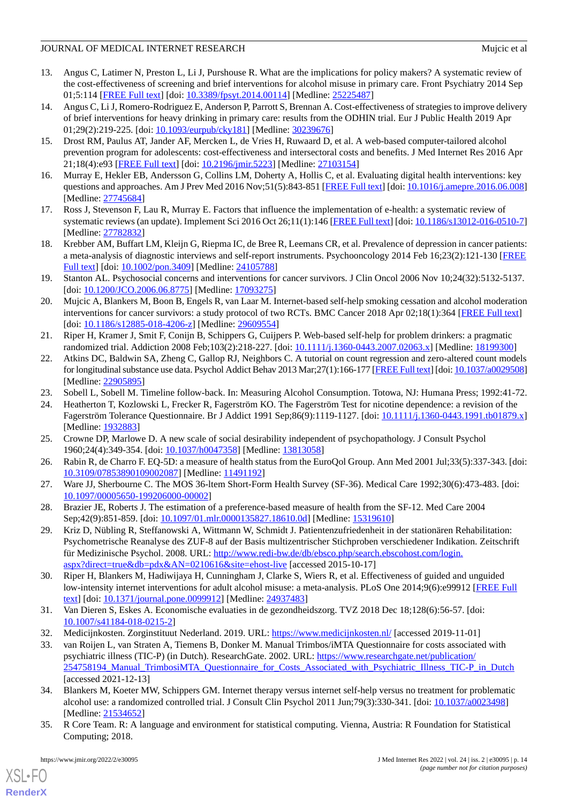- <span id="page-13-0"></span>13. Angus C, Latimer N, Preston L, Li J, Purshouse R. What are the implications for policy makers? A systematic review of the cost-effectiveness of screening and brief interventions for alcohol misuse in primary care. Front Psychiatry 2014 Sep 01;5:114 [[FREE Full text](https://doi.org/10.3389/fpsyt.2014.00114)] [doi: [10.3389/fpsyt.2014.00114\]](http://dx.doi.org/10.3389/fpsyt.2014.00114) [Medline: [25225487\]](http://www.ncbi.nlm.nih.gov/entrez/query.fcgi?cmd=Retrieve&db=PubMed&list_uids=25225487&dopt=Abstract)
- <span id="page-13-1"></span>14. Angus C, Li J, Romero-Rodriguez E, Anderson P, Parrott S, Brennan A. Cost-effectiveness of strategies to improve delivery of brief interventions for heavy drinking in primary care: results from the ODHIN trial. Eur J Public Health 2019 Apr 01;29(2):219-225. [doi: [10.1093/eurpub/cky181\]](http://dx.doi.org/10.1093/eurpub/cky181) [Medline: [30239676](http://www.ncbi.nlm.nih.gov/entrez/query.fcgi?cmd=Retrieve&db=PubMed&list_uids=30239676&dopt=Abstract)]
- <span id="page-13-2"></span>15. Drost RM, Paulus AT, Jander AF, Mercken L, de Vries H, Ruwaard D, et al. A web-based computer-tailored alcohol prevention program for adolescents: cost-effectiveness and intersectoral costs and benefits. J Med Internet Res 2016 Apr 21;18(4):e93 [\[FREE Full text](http://www.jmir.org/2016/4/e93/)] [doi: [10.2196/jmir.5223\]](http://dx.doi.org/10.2196/jmir.5223) [Medline: [27103154](http://www.ncbi.nlm.nih.gov/entrez/query.fcgi?cmd=Retrieve&db=PubMed&list_uids=27103154&dopt=Abstract)]
- <span id="page-13-4"></span><span id="page-13-3"></span>16. Murray E, Hekler EB, Andersson G, Collins LM, Doherty A, Hollis C, et al. Evaluating digital health interventions: key questions and approaches. Am J Prev Med 2016 Nov;51(5):843-851 [\[FREE Full text\]](http://europepmc.org/abstract/MED/27745684) [doi: [10.1016/j.amepre.2016.06.008](http://dx.doi.org/10.1016/j.amepre.2016.06.008)] [Medline: [27745684](http://www.ncbi.nlm.nih.gov/entrez/query.fcgi?cmd=Retrieve&db=PubMed&list_uids=27745684&dopt=Abstract)]
- <span id="page-13-5"></span>17. Ross J, Stevenson F, Lau R, Murray E. Factors that influence the implementation of e-health: a systematic review of systematic reviews (an update). Implement Sci 2016 Oct 26;11(1):146 [\[FREE Full text\]](https://www.gov.uk/government/uploads/system/uploads/attachment_data/file/550866/Wachter_Review_Accessible.pdf.%20Accessed%2027%20Sept%202016) [doi: [10.1186/s13012-016-0510-7](http://dx.doi.org/10.1186/s13012-016-0510-7)] [Medline: [27782832](http://www.ncbi.nlm.nih.gov/entrez/query.fcgi?cmd=Retrieve&db=PubMed&list_uids=27782832&dopt=Abstract)]
- <span id="page-13-6"></span>18. Krebber AM, Buffart LM, Kleijn G, Riepma IC, de Bree R, Leemans CR, et al. Prevalence of depression in cancer patients: a meta-analysis of diagnostic interviews and self-report instruments. Psychooncology 2014 Feb 16;23(2):121-130 [\[FREE](https://doi.org/10.1002/pon.3409) [Full text\]](https://doi.org/10.1002/pon.3409) [doi: [10.1002/pon.3409\]](http://dx.doi.org/10.1002/pon.3409) [Medline: [24105788\]](http://www.ncbi.nlm.nih.gov/entrez/query.fcgi?cmd=Retrieve&db=PubMed&list_uids=24105788&dopt=Abstract)
- <span id="page-13-7"></span>19. Stanton AL. Psychosocial concerns and interventions for cancer survivors. J Clin Oncol 2006 Nov 10;24(32):5132-5137. [doi: [10.1200/JCO.2006.06.8775](http://dx.doi.org/10.1200/JCO.2006.06.8775)] [Medline: [17093275](http://www.ncbi.nlm.nih.gov/entrez/query.fcgi?cmd=Retrieve&db=PubMed&list_uids=17093275&dopt=Abstract)]
- <span id="page-13-8"></span>20. Mujcic A, Blankers M, Boon B, Engels R, van Laar M. Internet-based self-help smoking cessation and alcohol moderation interventions for cancer survivors: a study protocol of two RCTs. BMC Cancer 2018 Apr 02;18(1):364 [[FREE Full text\]](https://bmccancer.biomedcentral.com/articles/10.1186/s12885-018-4206-z) [doi: [10.1186/s12885-018-4206-z\]](http://dx.doi.org/10.1186/s12885-018-4206-z) [Medline: [29609554](http://www.ncbi.nlm.nih.gov/entrez/query.fcgi?cmd=Retrieve&db=PubMed&list_uids=29609554&dopt=Abstract)]
- <span id="page-13-9"></span>21. Riper H, Kramer J, Smit F, Conijn B, Schippers G, Cuijpers P. Web-based self-help for problem drinkers: a pragmatic randomized trial. Addiction 2008 Feb;103(2):218-227. [doi: [10.1111/j.1360-0443.2007.02063.x\]](http://dx.doi.org/10.1111/j.1360-0443.2007.02063.x) [Medline: [18199300](http://www.ncbi.nlm.nih.gov/entrez/query.fcgi?cmd=Retrieve&db=PubMed&list_uids=18199300&dopt=Abstract)]
- <span id="page-13-11"></span><span id="page-13-10"></span>22. Atkins DC, Baldwin SA, Zheng C, Gallop RJ, Neighbors C. A tutorial on count regression and zero-altered count models for longitudinal substance use data. Psychol Addict Behav 2013 Mar;27(1):166-177 [\[FREE Full text](http://europepmc.org/abstract/MED/22905895)] [doi: [10.1037/a0029508\]](http://dx.doi.org/10.1037/a0029508) [Medline: [22905895](http://www.ncbi.nlm.nih.gov/entrez/query.fcgi?cmd=Retrieve&db=PubMed&list_uids=22905895&dopt=Abstract)]
- <span id="page-13-12"></span>23. Sobell L, Sobell M. Timeline follow-back. In: Measuring Alcohol Consumption. Totowa, NJ: Humana Press; 1992:41-72.
- <span id="page-13-13"></span>24. Heatherton T, Kozlowski L, Frecker R, Fagerström KO. The Fagerström Test for nicotine dependence: a revision of the Fagerström Tolerance Questionnaire. Br J Addict 1991 Sep;86(9):1119-1127. [doi: [10.1111/j.1360-0443.1991.tb01879.x](http://dx.doi.org/10.1111/j.1360-0443.1991.tb01879.x)] [Medline: [1932883\]](http://www.ncbi.nlm.nih.gov/entrez/query.fcgi?cmd=Retrieve&db=PubMed&list_uids=1932883&dopt=Abstract)
- <span id="page-13-14"></span>25. Crowne DP, Marlowe D. A new scale of social desirability independent of psychopathology. J Consult Psychol 1960;24(4):349-354. [doi: [10.1037/h0047358\]](http://dx.doi.org/10.1037/h0047358) [Medline: [13813058](http://www.ncbi.nlm.nih.gov/entrez/query.fcgi?cmd=Retrieve&db=PubMed&list_uids=13813058&dopt=Abstract)]
- <span id="page-13-15"></span>26. Rabin R, de Charro F. EQ-5D: a measure of health status from the EuroQol Group. Ann Med 2001 Jul;33(5):337-343. [doi: [10.3109/07853890109002087\]](http://dx.doi.org/10.3109/07853890109002087) [Medline: [11491192\]](http://www.ncbi.nlm.nih.gov/entrez/query.fcgi?cmd=Retrieve&db=PubMed&list_uids=11491192&dopt=Abstract)
- <span id="page-13-16"></span>27. Ware JJ, Sherbourne C. The MOS 36-ltem Short-Form Health Survey (SF-36). Medical Care 1992;30(6):473-483. [doi: [10.1097/00005650-199206000-00002](http://dx.doi.org/10.1097/00005650-199206000-00002)]
- 28. Brazier JE, Roberts J. The estimation of a preference-based measure of health from the SF-12. Med Care 2004 Sep;42(9):851-859. [doi: [10.1097/01.mlr.0000135827.18610.0d](http://dx.doi.org/10.1097/01.mlr.0000135827.18610.0d)] [Medline: [15319610\]](http://www.ncbi.nlm.nih.gov/entrez/query.fcgi?cmd=Retrieve&db=PubMed&list_uids=15319610&dopt=Abstract)
- <span id="page-13-18"></span><span id="page-13-17"></span>29. Kriz D, Nübling R, Steffanowski A, Wittmann W, Schmidt J. Patientenzufriedenheit in der stationären Rehabilitation: Psychometrische Reanalyse des ZUF-8 auf der Basis multizentrischer Stichproben verschiedener Indikation. Zeitschrift für Medizinische Psychol. 2008. URL: [http://www.redi-bw.de/db/ebsco.php/search.ebscohost.com/login.](http://www.redi-bw.de/db/ebsco.php/search.ebscohost.com/login.aspx?direct=true&db=pdx&AN=0210616&site=ehost-live) [aspx?direct=true&db=pdx&AN=0210616&site=ehost-live](http://www.redi-bw.de/db/ebsco.php/search.ebscohost.com/login.aspx?direct=true&db=pdx&AN=0210616&site=ehost-live) [accessed 2015-10-17]
- <span id="page-13-20"></span><span id="page-13-19"></span>30. Riper H, Blankers M, Hadiwijaya H, Cunningham J, Clarke S, Wiers R, et al. Effectiveness of guided and unguided low-intensity internet interventions for adult alcohol misuse: a meta-analysis. PLoS One 2014;9(6):e99912 [\[FREE Full](http://dx.plos.org/10.1371/journal.pone.0099912) [text](http://dx.plos.org/10.1371/journal.pone.0099912)] [doi: [10.1371/journal.pone.0099912\]](http://dx.doi.org/10.1371/journal.pone.0099912) [Medline: [24937483](http://www.ncbi.nlm.nih.gov/entrez/query.fcgi?cmd=Retrieve&db=PubMed&list_uids=24937483&dopt=Abstract)]
- 31. Van Dieren S, Eskes A. Economische evaluaties in de gezondheidszorg. TVZ 2018 Dec 18;128(6):56-57. [doi: [10.1007/s41184-018-0215-2\]](http://dx.doi.org/10.1007/s41184-018-0215-2)
- <span id="page-13-21"></span>32. Medicijnkosten. Zorginstituut Nederland. 2019. URL:<https://www.medicijnkosten.nl/> [accessed 2019-11-01]
- <span id="page-13-22"></span>33. van Roijen L, van Straten A, Tiemens B, Donker M. Manual Trimbos/iMTA Questionnaire for costs associated with psychiatric illness (TIC-P) (in Dutch). ResearchGate. 2002. URL: [https://www.researchgate.net/publication/](https://www.researchgate.net/publication/254758194_Manual_TrimbosiMTA_Questionnaire_for_Costs_Associated_with_Psychiatric_Illness_TIC-P_in_Dutch) 254758194 Manual TrimbosiMTA Questionnaire for Costs Associated with Psychiatric Illness TIC-P in Dutch [accessed 2021-12-13]
- 34. Blankers M, Koeter MW, Schippers GM. Internet therapy versus internet self-help versus no treatment for problematic alcohol use: a randomized controlled trial. J Consult Clin Psychol 2011 Jun;79(3):330-341. [doi: [10.1037/a0023498\]](http://dx.doi.org/10.1037/a0023498) [Medline: [21534652](http://www.ncbi.nlm.nih.gov/entrez/query.fcgi?cmd=Retrieve&db=PubMed&list_uids=21534652&dopt=Abstract)]
- 35. R Core Team. R: A language and environment for statistical computing. Vienna, Austria: R Foundation for Statistical Computing; 2018.

 $XS$  • FO **[RenderX](http://www.renderx.com/)**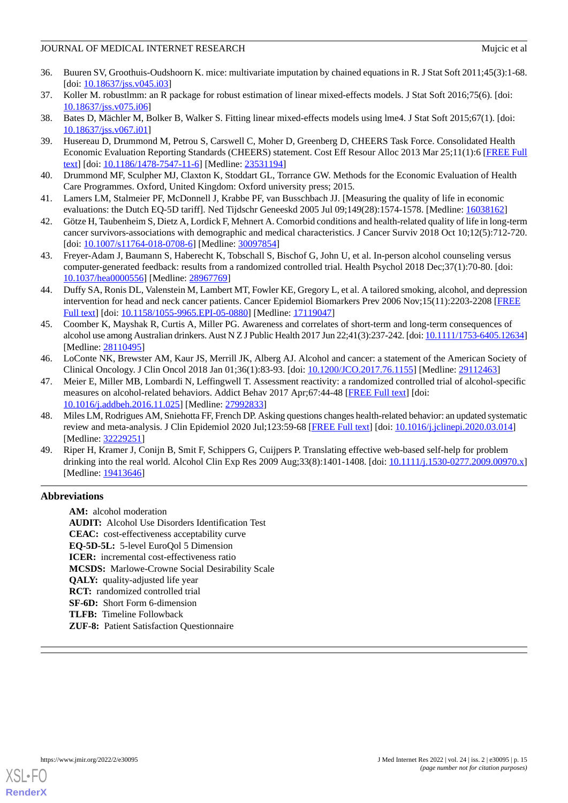- <span id="page-14-0"></span>36. Buuren SV, Groothuis-Oudshoorn K. mice: multivariate imputation by chained equations in R. J Stat Soft 2011;45(3):1-68. [doi: [10.18637/jss.v045.i03](http://dx.doi.org/10.18637/jss.v045.i03)]
- <span id="page-14-2"></span><span id="page-14-1"></span>37. Koller M. robustlmm: an R package for robust estimation of linear mixed-effects models. J Stat Soft 2016;75(6). [doi: [10.18637/jss.v075.i06](http://dx.doi.org/10.18637/jss.v075.i06)]
- <span id="page-14-3"></span>38. Bates D, Mächler M, Bolker B, Walker S. Fitting linear mixed-effects models using lme4. J Stat Soft 2015;67(1). [doi: [10.18637/jss.v067.i01](http://dx.doi.org/10.18637/jss.v067.i01)]
- 39. Husereau D, Drummond M, Petrou S, Carswell C, Moher D, Greenberg D, CHEERS Task Force. Consolidated Health Economic Evaluation Reporting Standards (CHEERS) statement. Cost Eff Resour Alloc 2013 Mar 25;11(1):6 [[FREE Full](https://resource-allocation.biomedcentral.com/articles/10.1186/1478-7547-11-6) [text](https://resource-allocation.biomedcentral.com/articles/10.1186/1478-7547-11-6)] [doi: [10.1186/1478-7547-11-6\]](http://dx.doi.org/10.1186/1478-7547-11-6) [Medline: [23531194\]](http://www.ncbi.nlm.nih.gov/entrez/query.fcgi?cmd=Retrieve&db=PubMed&list_uids=23531194&dopt=Abstract)
- <span id="page-14-5"></span><span id="page-14-4"></span>40. Drummond MF, Sculpher MJ, Claxton K, Stoddart GL, Torrance GW. Methods for the Economic Evaluation of Health Care Programmes. Oxford, United Kingdom: Oxford university press; 2015.
- <span id="page-14-6"></span>41. Lamers LM, Stalmeier PF, McDonnell J, Krabbe PF, van Busschbach JJ. [Measuring the quality of life in economic evaluations: the Dutch EQ-5D tariff]. Ned Tijdschr Geneeskd 2005 Jul 09;149(28):1574-1578. [Medline: [16038162\]](http://www.ncbi.nlm.nih.gov/entrez/query.fcgi?cmd=Retrieve&db=PubMed&list_uids=16038162&dopt=Abstract)
- <span id="page-14-7"></span>42. Götze H, Taubenheim S, Dietz A, Lordick F, Mehnert A. Comorbid conditions and health-related quality of life in long-term cancer survivors-associations with demographic and medical characteristics. J Cancer Surviv 2018 Oct 10;12(5):712-720. [doi: [10.1007/s11764-018-0708-6](http://dx.doi.org/10.1007/s11764-018-0708-6)] [Medline: [30097854\]](http://www.ncbi.nlm.nih.gov/entrez/query.fcgi?cmd=Retrieve&db=PubMed&list_uids=30097854&dopt=Abstract)
- <span id="page-14-8"></span>43. Freyer-Adam J, Baumann S, Haberecht K, Tobschall S, Bischof G, John U, et al. In-person alcohol counseling versus computer-generated feedback: results from a randomized controlled trial. Health Psychol 2018 Dec;37(1):70-80. [doi: [10.1037/hea0000556\]](http://dx.doi.org/10.1037/hea0000556) [Medline: [28967769](http://www.ncbi.nlm.nih.gov/entrez/query.fcgi?cmd=Retrieve&db=PubMed&list_uids=28967769&dopt=Abstract)]
- <span id="page-14-9"></span>44. Duffy SA, Ronis DL, Valenstein M, Lambert MT, Fowler KE, Gregory L, et al. A tailored smoking, alcohol, and depression intervention for head and neck cancer patients. Cancer Epidemiol Biomarkers Prev 2006 Nov;15(11):2203-2208 [\[FREE](http://cebp.aacrjournals.org/cgi/pmidlookup?view=long&pmid=17119047) [Full text\]](http://cebp.aacrjournals.org/cgi/pmidlookup?view=long&pmid=17119047) [doi: [10.1158/1055-9965.EPI-05-0880\]](http://dx.doi.org/10.1158/1055-9965.EPI-05-0880) [Medline: [17119047\]](http://www.ncbi.nlm.nih.gov/entrez/query.fcgi?cmd=Retrieve&db=PubMed&list_uids=17119047&dopt=Abstract)
- <span id="page-14-10"></span>45. Coomber K, Mayshak R, Curtis A, Miller PG. Awareness and correlates of short-term and long-term consequences of alcohol use among Australian drinkers. Aust N Z J Public Health 2017 Jun 22;41(3):237-242. [doi: [10.1111/1753-6405.12634\]](http://dx.doi.org/10.1111/1753-6405.12634) [Medline: [28110495](http://www.ncbi.nlm.nih.gov/entrez/query.fcgi?cmd=Retrieve&db=PubMed&list_uids=28110495&dopt=Abstract)]
- <span id="page-14-11"></span>46. LoConte NK, Brewster AM, Kaur JS, Merrill JK, Alberg AJ. Alcohol and cancer: a statement of the American Society of Clinical Oncology. J Clin Oncol 2018 Jan 01;36(1):83-93. [doi: [10.1200/JCO.2017.76.1155](http://dx.doi.org/10.1200/JCO.2017.76.1155)] [Medline: [29112463](http://www.ncbi.nlm.nih.gov/entrez/query.fcgi?cmd=Retrieve&db=PubMed&list_uids=29112463&dopt=Abstract)]
- <span id="page-14-12"></span>47. Meier E, Miller MB, Lombardi N, Leffingwell T. Assessment reactivity: a randomized controlled trial of alcohol-specific measures on alcohol-related behaviors. Addict Behav 2017 Apr;67:44-48 [\[FREE Full text\]](http://europepmc.org/abstract/MED/27992833) [doi: [10.1016/j.addbeh.2016.11.025](http://dx.doi.org/10.1016/j.addbeh.2016.11.025)] [Medline: [27992833](http://www.ncbi.nlm.nih.gov/entrez/query.fcgi?cmd=Retrieve&db=PubMed&list_uids=27992833&dopt=Abstract)]
- <span id="page-14-13"></span>48. Miles LM, Rodrigues AM, Sniehotta FF, French DP. Asking questions changes health-related behavior: an updated systematic review and meta-analysis. J Clin Epidemiol 2020 Jul;123:59-68 [[FREE Full text](https://linkinghub.elsevier.com/retrieve/pii/S0895-4356(19)31146-1)] [doi: [10.1016/j.jclinepi.2020.03.014\]](http://dx.doi.org/10.1016/j.jclinepi.2020.03.014) [Medline: [32229251](http://www.ncbi.nlm.nih.gov/entrez/query.fcgi?cmd=Retrieve&db=PubMed&list_uids=32229251&dopt=Abstract)]
- 49. Riper H, Kramer J, Conijn B, Smit F, Schippers G, Cuijpers P. Translating effective web-based self-help for problem drinking into the real world. Alcohol Clin Exp Res 2009 Aug;33(8):1401-1408. [doi: [10.1111/j.1530-0277.2009.00970.x](http://dx.doi.org/10.1111/j.1530-0277.2009.00970.x)] [Medline: [19413646](http://www.ncbi.nlm.nih.gov/entrez/query.fcgi?cmd=Retrieve&db=PubMed&list_uids=19413646&dopt=Abstract)]

# **Abbreviations**

**AM:** alcohol moderation **AUDIT:** Alcohol Use Disorders Identification Test **CEAC:** cost-effectiveness acceptability curve **EQ-5D-5L:** 5-level EuroQol 5 Dimension **ICER:** incremental cost-effectiveness ratio **MCSDS:** Marlowe-Crowne Social Desirability Scale **QALY:** quality-adjusted life year **RCT:** randomized controlled trial **SF-6D:** Short Form 6-dimension **TLFB:** Timeline Followback **ZUF-8:** Patient Satisfaction Questionnaire